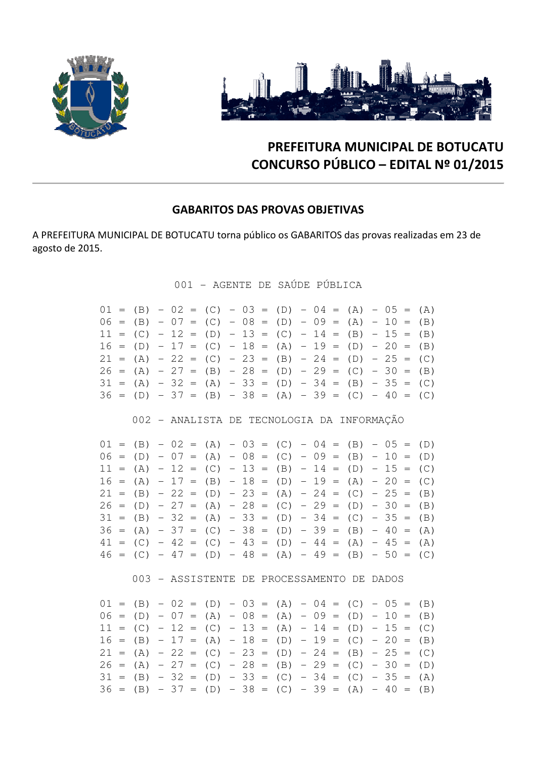



# PREFEITURA MUNICIPAL DE BOTUCATU CONCURSO PÚBLICO – EDITAL Nº 01/2015

### GABARITOS DAS PROVAS OBJETIVAS

A PREFEITURA MUNICIPAL DE BOTUCATU torna público os GABARITOS das provas realizadas em 23 de agosto de 2015.

001 - AGENTE DE SAÚDE PÚBLICA

|  |  |  |  |  |  |  | $01 = (B) - 02 = (C) - 03 = (D) - 04 = (A) - 05 = (A)$<br>$06 = (B) - 07 = (C) - 08 = (D) - 09 = (A) - 10 = (B)$<br>$11 = (C) - 12 = (D) - 13 = (C) - 14 = (B) - 15 = (B)$<br>$16 = (D) - 17 = (C) - 18 = (A) - 19 = (D) - 20 = (B)$ |  |  |
|--|--|--|--|--|--|--|--------------------------------------------------------------------------------------------------------------------------------------------------------------------------------------------------------------------------------------|--|--|
|  |  |  |  |  |  |  | $21 = (A) - 22 = (C) - 23 = (B) - 24 = (D) - 25 = (C)$<br>$26 = (A) - 27 = (B) - 28 = (D) - 29 = (C) - 30 = (B)$                                                                                                                     |  |  |
|  |  |  |  |  |  |  | $31 = (A) - 32 = (A) - 33 = (D) - 34 = (B) - 35 = (C)$<br>$36 = (D) - 37 = (B) - 38 = (A) - 39 = (C) - 40 = (C)$                                                                                                                     |  |  |

002 - ANALISTA DE TECNOLOGIA DA INFORMAÇÃO

|  |  |  |  |  | $01 = (B) - 02 = (A) - 03 = (C) - 04 = (B) - 05 = (D)$ |  |  |  |  |
|--|--|--|--|--|--------------------------------------------------------|--|--|--|--|
|  |  |  |  |  | $06 = (D) - 07 = (A) - 08 = (C) - 09 = (B) - 10 = (D)$ |  |  |  |  |
|  |  |  |  |  | $11 = (A) - 12 = (C) - 13 = (B) - 14 = (D) - 15 = (C)$ |  |  |  |  |
|  |  |  |  |  | $16 = (A) - 17 = (B) - 18 = (D) - 19 = (A) - 20 = (C)$ |  |  |  |  |
|  |  |  |  |  | $21 = (B) - 22 = (D) - 23 = (A) - 24 = (C) - 25 = (B)$ |  |  |  |  |
|  |  |  |  |  | $26 = (D) - 27 = (A) - 28 = (C) - 29 = (D) - 30 = (B)$ |  |  |  |  |
|  |  |  |  |  | $31 = (B) - 32 = (A) - 33 = (D) - 34 = (C) - 35 = (B)$ |  |  |  |  |
|  |  |  |  |  | $36 = (A) - 37 = (C) - 38 = (D) - 39 = (B) - 40 = (A)$ |  |  |  |  |
|  |  |  |  |  | $41 = (C) - 42 = (C) - 43 = (D) - 44 = (A) - 45 = (A)$ |  |  |  |  |
|  |  |  |  |  | $46 = (C) - 47 = (D) - 48 = (A) - 49 = (B) - 50 = (C)$ |  |  |  |  |

003 - ASSISTENTE DE PROCESSAMENTO DE DADOS

|  |  |  |  |  |  |  | $01 = (B) - 02 = (D) - 03 = (A) - 04 = (C) - 05 = (B)$ |  |  |
|--|--|--|--|--|--|--|--------------------------------------------------------|--|--|
|  |  |  |  |  |  |  | $06 = (D) - 07 = (A) - 08 = (A) - 09 = (D) - 10 = (B)$ |  |  |
|  |  |  |  |  |  |  | $11 = (C) - 12 = (C) - 13 = (A) - 14 = (D) - 15 = (C)$ |  |  |
|  |  |  |  |  |  |  | $16 = (B) - 17 = (A) - 18 = (D) - 19 = (C) - 20 = (B)$ |  |  |
|  |  |  |  |  |  |  | $21 = (A) - 22 = (C) - 23 = (D) - 24 = (B) - 25 = (C)$ |  |  |
|  |  |  |  |  |  |  | $26 = (A) - 27 = (C) - 28 = (B) - 29 = (C) - 30 = (D)$ |  |  |
|  |  |  |  |  |  |  | $31 = (B) - 32 = (D) - 33 = (C) - 34 = (C) - 35 = (A)$ |  |  |
|  |  |  |  |  |  |  | $36 = (B) - 37 = (D) - 38 = (C) - 39 = (A) - 40 = (B)$ |  |  |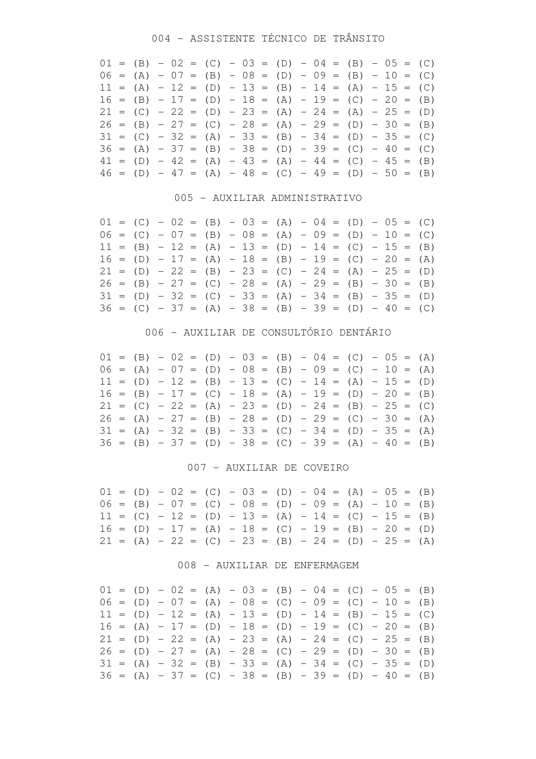## 004 - ASSISTENTE TÉCNICO DE TRÂNSITO

|  |  |  | $01 = (B) - 02 = (C) - 03 = (D) - 04 = (B) - 05 = (C)$ |  |  |  |  |  |  |
|--|--|--|--------------------------------------------------------|--|--|--|--|--|--|
|  |  |  | $06 = (A) - 07 = (B) - 08 = (D) - 09 = (B) - 10 = (C)$ |  |  |  |  |  |  |
|  |  |  | $11 = (A) - 12 = (D) - 13 = (B) - 14 = (A) - 15 = (C)$ |  |  |  |  |  |  |
|  |  |  | $16 = (B) - 17 = (D) - 18 = (A) - 19 = (C) - 20 = (B)$ |  |  |  |  |  |  |
|  |  |  | $21 = (C) - 22 = (D) - 23 = (A) - 24 = (A) - 25 = (D)$ |  |  |  |  |  |  |
|  |  |  | $26 = (B) - 27 = (C) - 28 = (A) - 29 = (D) - 30 = (B)$ |  |  |  |  |  |  |
|  |  |  | $31 = (C) - 32 = (A) - 33 = (B) - 34 = (D) - 35 = (C)$ |  |  |  |  |  |  |
|  |  |  | $36 = (A) - 37 = (B) - 38 = (D) - 39 = (C) - 40 = (C)$ |  |  |  |  |  |  |
|  |  |  | $41 = (D) - 42 = (A) - 43 = (A) - 44 = (C) - 45 = (B)$ |  |  |  |  |  |  |
|  |  |  | $46 = (D) - 47 = (A) - 48 = (C) - 49 = (D) - 50 = (B)$ |  |  |  |  |  |  |

### 005 - AUXILIAR ADMINISTRATIVO

|  |  |  |  |  |  |  | $01 = (C) - 02 = (B) - 03 = (A) - 04 = (D) - 05 = (C)$ |  |  |
|--|--|--|--|--|--|--|--------------------------------------------------------|--|--|
|  |  |  |  |  |  |  | $06 = (C) - 07 = (B) - 08 = (A) - 09 = (D) - 10 = (C)$ |  |  |
|  |  |  |  |  |  |  | $11 = (B) - 12 = (A) - 13 = (D) - 14 = (C) - 15 = (B)$ |  |  |
|  |  |  |  |  |  |  | $16 = (D) - 17 = (A) - 18 = (B) - 19 = (C) - 20 = (A)$ |  |  |
|  |  |  |  |  |  |  | $21 = (D) - 22 = (B) - 23 = (C) - 24 = (A) - 25 = (D)$ |  |  |
|  |  |  |  |  |  |  | $26 = (B) - 27 = (C) - 28 = (A) - 29 = (B) - 30 = (B)$ |  |  |
|  |  |  |  |  |  |  | $31 = (D) - 32 = (C) - 33 = (A) - 34 = (B) - 35 = (D)$ |  |  |
|  |  |  |  |  |  |  | $36 = (C) - 37 = (A) - 38 = (B) - 39 = (D) - 40 = (C)$ |  |  |

### 006 - AUXILIAR DE CONSULTÓRIO DENTÁRIO

|  |  |  |  |  |  |  | $01 = (B) - 02 = (D) - 03 = (B) - 04 = (C) - 05 = (A)$ |  |  |
|--|--|--|--|--|--|--|--------------------------------------------------------|--|--|
|  |  |  |  |  |  |  | $06 = (A) - 07 = (D) - 08 = (B) - 09 = (C) - 10 = (A)$ |  |  |
|  |  |  |  |  |  |  | $11 = (D) - 12 = (B) - 13 = (C) - 14 = (A) - 15 = (D)$ |  |  |
|  |  |  |  |  |  |  | $16 = (B) - 17 = (C) - 18 = (A) - 19 = (D) - 20 = (B)$ |  |  |
|  |  |  |  |  |  |  | $21 = (C) - 22 = (A) - 23 = (D) - 24 = (B) - 25 = (C)$ |  |  |
|  |  |  |  |  |  |  | $26 = (A) - 27 = (B) - 28 = (D) - 29 = (C) - 30 = (A)$ |  |  |
|  |  |  |  |  |  |  | $31 = (A) - 32 = (B) - 33 = (C) - 34 = (D) - 35 = (A)$ |  |  |
|  |  |  |  |  |  |  | $36 = (B) - 37 = (D) - 38 = (C) - 39 = (A) - 40 = (B)$ |  |  |

### 007 - AUXILIAR DE COVEIRO

|  |  |  |  |  |  |  | $01 = (D) - 02 = (C) - 03 = (D) - 04 = (A) - 05 = (B)$ |  |  |
|--|--|--|--|--|--|--|--------------------------------------------------------|--|--|
|  |  |  |  |  |  |  | $06 = (B) - 07 = (C) - 08 = (D) - 09 = (A) - 10 = (B)$ |  |  |
|  |  |  |  |  |  |  | $11 = (C) - 12 = (D) - 13 = (A) - 14 = (C) - 15 = (B)$ |  |  |
|  |  |  |  |  |  |  | $16 = (D) - 17 = (A) - 18 = (C) - 19 = (B) - 20 = (D)$ |  |  |
|  |  |  |  |  |  |  | $21 = (A) - 22 = (C) - 23 = (B) - 24 = (D) - 25 = (A)$ |  |  |

### 008 - AUXILIAR DE ENFERMAGEM

|  |  |  | $01 = (D) - 02 = (A) - 03 = (B) - 04 = (C) - 05 = (B)$ |  |  |  |  |  |  |
|--|--|--|--------------------------------------------------------|--|--|--|--|--|--|
|  |  |  | $06 = (D) - 07 = (A) - 08 = (C) - 09 = (C) - 10 = (B)$ |  |  |  |  |  |  |
|  |  |  | $11 = (D) - 12 = (A) - 13 = (D) - 14 = (B) - 15 = (C)$ |  |  |  |  |  |  |
|  |  |  | $16 = (A) - 17 = (D) - 18 = (D) - 19 = (C) - 20 = (B)$ |  |  |  |  |  |  |
|  |  |  | $21 = (D) - 22 = (A) - 23 = (A) - 24 = (C) - 25 = (B)$ |  |  |  |  |  |  |
|  |  |  | $26 = (D) - 27 = (A) - 28 = (C) - 29 = (D) - 30 = (B)$ |  |  |  |  |  |  |
|  |  |  | $31 = (A) - 32 = (B) - 33 = (A) - 34 = (C) - 35 = (D)$ |  |  |  |  |  |  |
|  |  |  | $36 = (A) - 37 = (C) - 38 = (B) - 39 = (D) - 40 = (B)$ |  |  |  |  |  |  |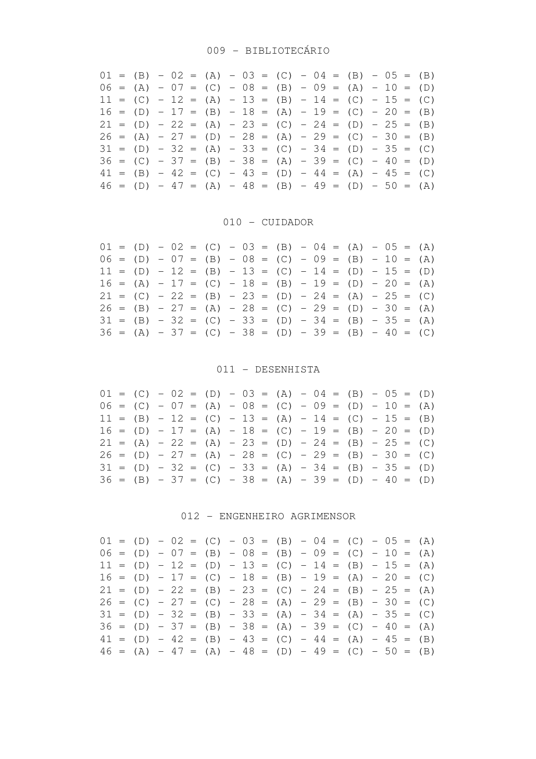|  |  |  |  |  |  |  | $01 = (B) - 02 = (A) - 03 = (C) - 04 = (B) - 05 = (B)$ |  |  |
|--|--|--|--|--|--|--|--------------------------------------------------------|--|--|
|  |  |  |  |  |  |  | $06 = (A) - 07 = (C) - 08 = (B) - 09 = (A) - 10 = (D)$ |  |  |
|  |  |  |  |  |  |  | $11 = (C) - 12 = (A) - 13 = (B) - 14 = (C) - 15 = (C)$ |  |  |
|  |  |  |  |  |  |  | $16 = (D) - 17 = (B) - 18 = (A) - 19 = (C) - 20 = (B)$ |  |  |
|  |  |  |  |  |  |  | $21 = (D) - 22 = (A) - 23 = (C) - 24 = (D) - 25 = (B)$ |  |  |
|  |  |  |  |  |  |  | $26 = (A) - 27 = (D) - 28 = (A) - 29 = (C) - 30 = (B)$ |  |  |
|  |  |  |  |  |  |  | $31 = (D) - 32 = (A) - 33 = (C) - 34 = (D) - 35 = (C)$ |  |  |
|  |  |  |  |  |  |  | $36 = (C) - 37 = (B) - 38 = (A) - 39 = (C) - 40 = (D)$ |  |  |
|  |  |  |  |  |  |  | $41 = (B) - 42 = (C) - 43 = (D) - 44 = (A) - 45 = (C)$ |  |  |
|  |  |  |  |  |  |  | $46 = (D) - 47 = (A) - 48 = (B) - 49 = (D) - 50 = (A)$ |  |  |

### 010 - CUIDADOR

|  |  |  |  |  |  |  | $01 = (D) - 02 = (C) - 03 = (B) - 04 = (A) - 05 = (A)$ |  |  |
|--|--|--|--|--|--|--|--------------------------------------------------------|--|--|
|  |  |  |  |  |  |  | $06 = (D) - 07 = (B) - 08 = (C) - 09 = (B) - 10 = (A)$ |  |  |
|  |  |  |  |  |  |  | $11 = (D) - 12 = (B) - 13 = (C) - 14 = (D) - 15 = (D)$ |  |  |
|  |  |  |  |  |  |  | $16 = (A) - 17 = (C) - 18 = (B) - 19 = (D) - 20 = (A)$ |  |  |
|  |  |  |  |  |  |  | $21 = (C) - 22 = (B) - 23 = (D) - 24 = (A) - 25 = (C)$ |  |  |
|  |  |  |  |  |  |  | $26 = (B) - 27 = (A) - 28 = (C) - 29 = (D) - 30 = (A)$ |  |  |
|  |  |  |  |  |  |  | $31 = (B) - 32 = (C) - 33 = (D) - 34 = (B) - 35 = (A)$ |  |  |
|  |  |  |  |  |  |  | $36 = (A) - 37 = (C) - 38 = (D) - 39 = (B) - 40 = (C)$ |  |  |

## 011 - DESENHISTA

|  |  |  |  |  |  |  | $01 = (C) - 02 = (D) - 03 = (A) - 04 = (B) - 05 = (D)$ |  |  |
|--|--|--|--|--|--|--|--------------------------------------------------------|--|--|
|  |  |  |  |  |  |  | $06 = (C) - 07 = (A) - 08 = (C) - 09 = (D) - 10 = (A)$ |  |  |
|  |  |  |  |  |  |  | $11 = (B) - 12 = (C) - 13 = (A) - 14 = (C) - 15 = (B)$ |  |  |
|  |  |  |  |  |  |  | $16 = (D) - 17 = (A) - 18 = (C) - 19 = (B) - 20 = (D)$ |  |  |
|  |  |  |  |  |  |  | $21 = (A) - 22 = (A) - 23 = (D) - 24 = (B) - 25 = (C)$ |  |  |
|  |  |  |  |  |  |  | $26 = (D) - 27 = (A) - 28 = (C) - 29 = (B) - 30 = (C)$ |  |  |
|  |  |  |  |  |  |  | $31 = (D) - 32 = (C) - 33 = (A) - 34 = (B) - 35 = (D)$ |  |  |
|  |  |  |  |  |  |  | $36 = (B) - 37 = (C) - 38 = (A) - 39 = (D) - 40 = (D)$ |  |  |

### 012 - ENGENHEIRO AGRIMENSOR

|  |  |  |  |  |  |  | $01 = (D) - 02 = (C) - 03 = (B) - 04 = (C) - 05 = (A)$ |  |  |
|--|--|--|--|--|--|--|--------------------------------------------------------|--|--|
|  |  |  |  |  |  |  | $06 = (D) - 07 = (B) - 08 = (B) - 09 = (C) - 10 = (A)$ |  |  |
|  |  |  |  |  |  |  | $11 = (D) - 12 = (D) - 13 = (C) - 14 = (B) - 15 = (A)$ |  |  |
|  |  |  |  |  |  |  | $16 = (D) - 17 = (C) - 18 = (B) - 19 = (A) - 20 = (C)$ |  |  |
|  |  |  |  |  |  |  | $21 = (D) - 22 = (B) - 23 = (C) - 24 = (B) - 25 = (A)$ |  |  |
|  |  |  |  |  |  |  | $26 = (C) - 27 = (C) - 28 = (A) - 29 = (B) - 30 = (C)$ |  |  |
|  |  |  |  |  |  |  | $31 = (D) - 32 = (B) - 33 = (A) - 34 = (A) - 35 = (C)$ |  |  |
|  |  |  |  |  |  |  | $36 = (D) - 37 = (B) - 38 = (A) - 39 = (C) - 40 = (A)$ |  |  |
|  |  |  |  |  |  |  | $41 = (D) - 42 = (B) - 43 = (C) - 44 = (A) - 45 = (B)$ |  |  |
|  |  |  |  |  |  |  | $46 = (A) - 47 = (A) - 48 = (D) - 49 = (C) - 50 = (B)$ |  |  |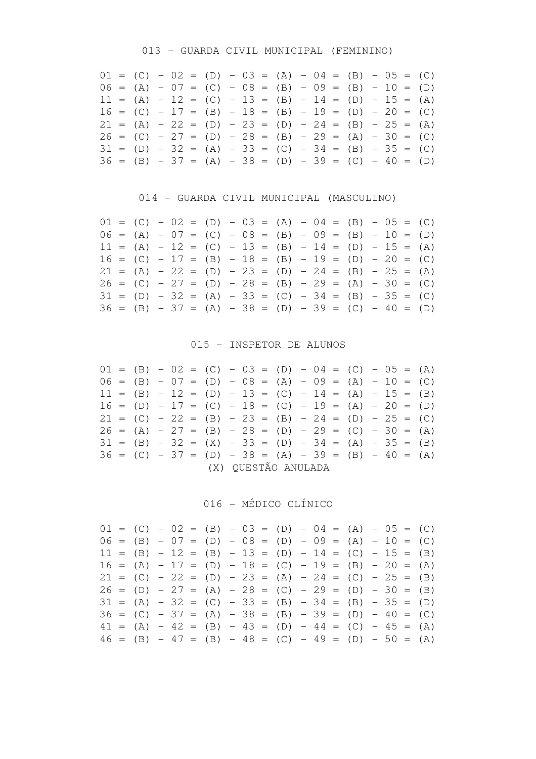### 013 - GUARDA CIVIL MUNICIPAL (FEMININO)

|  |  |  | $01 = (C) - 02 = (D) - 03 = (A) - 04 = (B) - 05 = (C)$ |  |  |  |  |  |  |
|--|--|--|--------------------------------------------------------|--|--|--|--|--|--|
|  |  |  | $06 = (A) - 07 = (C) - 08 = (B) - 09 = (B) - 10 = (D)$ |  |  |  |  |  |  |
|  |  |  | $11 = (A) - 12 = (C) - 13 = (B) - 14 = (D) - 15 = (A)$ |  |  |  |  |  |  |
|  |  |  | $16 = (C) - 17 = (B) - 18 = (B) - 19 = (D) - 20 = (C)$ |  |  |  |  |  |  |
|  |  |  | $21 = (A) - 22 = (D) - 23 = (D) - 24 = (B) - 25 = (A)$ |  |  |  |  |  |  |
|  |  |  | $26 = (C) - 27 = (D) - 28 = (B) - 29 = (A) - 30 = (C)$ |  |  |  |  |  |  |
|  |  |  | $31 = (D) - 32 = (A) - 33 = (C) - 34 = (B) - 35 = (C)$ |  |  |  |  |  |  |
|  |  |  | $36 = (B) - 37 = (A) - 38 = (D) - 39 = (C) - 40 = (D)$ |  |  |  |  |  |  |

### 014 - GUARDA CIVIL MUNICIPAL (MASCULINO)

|  |  |  |  |  |  |  | $01 = (C) - 02 = (D) - 03 = (A) - 04 = (B) - 05 = (C)$ |  |  |
|--|--|--|--|--|--|--|--------------------------------------------------------|--|--|
|  |  |  |  |  |  |  | $06 = (A) - 07 = (C) - 08 = (B) - 09 = (B) - 10 = (D)$ |  |  |
|  |  |  |  |  |  |  | $11 = (A) - 12 = (C) - 13 = (B) - 14 = (D) - 15 = (A)$ |  |  |
|  |  |  |  |  |  |  | $16 = (C) - 17 = (B) - 18 = (B) - 19 = (D) - 20 = (C)$ |  |  |
|  |  |  |  |  |  |  | $21 = (A) - 22 = (D) - 23 = (D) - 24 = (B) - 25 = (A)$ |  |  |
|  |  |  |  |  |  |  | $26 = (C) - 27 = (D) - 28 = (B) - 29 = (A) - 30 = (C)$ |  |  |
|  |  |  |  |  |  |  | $31 = (D) - 32 = (A) - 33 = (C) - 34 = (B) - 35 = (C)$ |  |  |
|  |  |  |  |  |  |  | $36 = (B) - 37 = (A) - 38 = (D) - 39 = (C) - 40 = (D)$ |  |  |

### 015 - INSPETOR DE ALUNOS

|  |  |  | $01 = (B) - 02 = (C) - 03 = (D) - 04 = (C) - 05 = (A)$ |  |                     |  |  |  |  |
|--|--|--|--------------------------------------------------------|--|---------------------|--|--|--|--|
|  |  |  | $06 = (B) - 07 = (D) - 08 = (A) - 09 = (A) - 10 = (C)$ |  |                     |  |  |  |  |
|  |  |  | $11 = (B) - 12 = (D) - 13 = (C) - 14 = (A) - 15 = (B)$ |  |                     |  |  |  |  |
|  |  |  | $16 = (D) - 17 = (C) - 18 = (C) - 19 = (A) - 20 = (D)$ |  |                     |  |  |  |  |
|  |  |  | $21 = (C) - 22 = (B) - 23 = (B) - 24 = (D) - 25 = (C)$ |  |                     |  |  |  |  |
|  |  |  | $26 = (A) - 27 = (B) - 28 = (D) - 29 = (C) - 30 = (A)$ |  |                     |  |  |  |  |
|  |  |  | $31 = (B) - 32 = (X) - 33 = (D) - 34 = (A) - 35 = (B)$ |  |                     |  |  |  |  |
|  |  |  | $36 = (C) - 37 = (D) - 38 = (A) - 39 = (B) - 40 = (A)$ |  |                     |  |  |  |  |
|  |  |  |                                                        |  | (X) QUESTÃO ANULADA |  |  |  |  |

## 016 - MÉDICO CLÍNICO

|  |  |  |  |  |  |  | $01 = (C) - 02 = (B) - 03 = (D) - 04 = (A) - 05 = (C)$ |  |  |
|--|--|--|--|--|--|--|--------------------------------------------------------|--|--|
|  |  |  |  |  |  |  | $06 = (B) - 07 = (D) - 08 = (D) - 09 = (A) - 10 = (C)$ |  |  |
|  |  |  |  |  |  |  | $11 = (B) - 12 = (B) - 13 = (D) - 14 = (C) - 15 = (B)$ |  |  |
|  |  |  |  |  |  |  | $16 = (A) - 17 = (D) - 18 = (C) - 19 = (B) - 20 = (A)$ |  |  |
|  |  |  |  |  |  |  | $21 = (C) - 22 = (D) - 23 = (A) - 24 = (C) - 25 = (B)$ |  |  |
|  |  |  |  |  |  |  | $26 = (D) - 27 = (A) - 28 = (C) - 29 = (D) - 30 = (B)$ |  |  |
|  |  |  |  |  |  |  | $31 = (A) - 32 = (C) - 33 = (B) - 34 = (B) - 35 = (D)$ |  |  |
|  |  |  |  |  |  |  | $36 = (C) - 37 = (A) - 38 = (B) - 39 = (D) - 40 = (C)$ |  |  |
|  |  |  |  |  |  |  | $41 = (A) - 42 = (B) - 43 = (D) - 44 = (C) - 45 = (A)$ |  |  |
|  |  |  |  |  |  |  | $46 = (B) - 47 = (B) - 48 = (C) - 49 = (D) - 50 = (A)$ |  |  |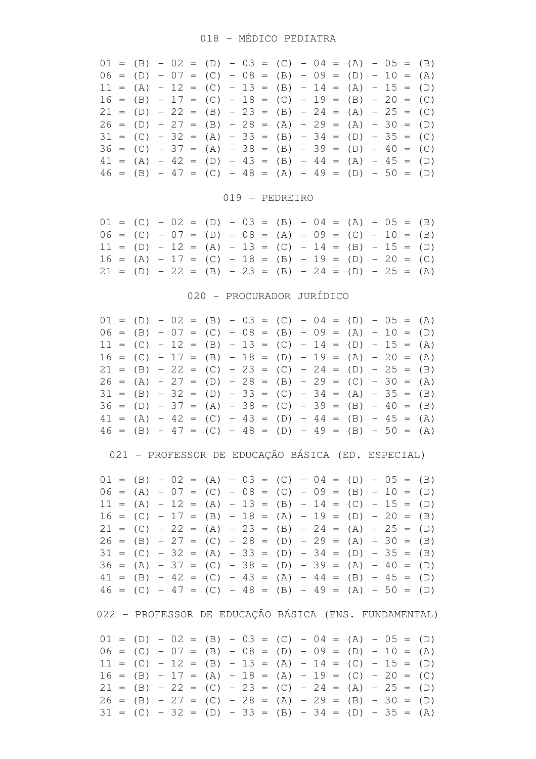|  |  |  | $01 = (B) - 02 = (D) - 03 = (C) - 04 = (A) - 05 = (B)$ |  |  |  |  |  |  |
|--|--|--|--------------------------------------------------------|--|--|--|--|--|--|
|  |  |  | $06 = (D) - 07 = (C) - 08 = (B) - 09 = (D) - 10 = (A)$ |  |  |  |  |  |  |
|  |  |  | $11 = (A) - 12 = (C) - 13 = (B) - 14 = (A) - 15 = (D)$ |  |  |  |  |  |  |
|  |  |  | $16 = (B) - 17 = (C) - 18 = (C) - 19 = (B) - 20 = (C)$ |  |  |  |  |  |  |
|  |  |  | $21 = (D) - 22 = (B) - 23 = (B) - 24 = (A) - 25 = (C)$ |  |  |  |  |  |  |
|  |  |  | $26 = (D) - 27 = (B) - 28 = (A) - 29 = (A) - 30 = (D)$ |  |  |  |  |  |  |
|  |  |  | $31 = (C) - 32 = (A) - 33 = (B) - 34 = (D) - 35 = (C)$ |  |  |  |  |  |  |
|  |  |  | $36 = (C) - 37 = (A) - 38 = (B) - 39 = (D) - 40 = (C)$ |  |  |  |  |  |  |
|  |  |  | $41 = (A) - 42 = (D) - 43 = (B) - 44 = (A) - 45 = (D)$ |  |  |  |  |  |  |
|  |  |  | $46 = (B) - 47 = (C) - 48 = (A) - 49 = (D) - 50 = (D)$ |  |  |  |  |  |  |

### 019 - PEDREIRO

|  |  |  |  |  |  |  |  | $01 = (C) - 02 = (D) - 03 = (B) - 04 = (A) - 05 = (B)$ |  |
|--|--|--|--|--|--|--|--|--------------------------------------------------------|--|
|  |  |  |  |  |  |  |  | $06 = (C) - 07 = (D) - 08 = (A) - 09 = (C) - 10 = (B)$ |  |
|  |  |  |  |  |  |  |  | $11 = (D) - 12 = (A) - 13 = (C) - 14 = (B) - 15 = (D)$ |  |
|  |  |  |  |  |  |  |  | $16 = (A) - 17 = (C) - 18 = (B) - 19 = (D) - 20 = (C)$ |  |
|  |  |  |  |  |  |  |  | $21 = (D) - 22 = (B) - 23 = (B) - 24 = (D) - 25 = (A)$ |  |

### 020 - PROCURADOR JURÍDICO

|  |  |  |  |  |  |  | $01 = (D) - 02 = (B) - 03 = (C) - 04 = (D) - 05 = (A)$ |  |  |
|--|--|--|--|--|--|--|--------------------------------------------------------|--|--|
|  |  |  |  |  |  |  | $06 = (B) - 07 = (C) - 08 = (B) - 09 = (A) - 10 = (D)$ |  |  |
|  |  |  |  |  |  |  | $11 = (C) - 12 = (B) - 13 = (C) - 14 = (D) - 15 = (A)$ |  |  |
|  |  |  |  |  |  |  | $16 = (C) - 17 = (B) - 18 = (D) - 19 = (A) - 20 = (A)$ |  |  |
|  |  |  |  |  |  |  | $21 = (B) - 22 = (C) - 23 = (C) - 24 = (D) - 25 = (B)$ |  |  |
|  |  |  |  |  |  |  | $26 = (A) - 27 = (D) - 28 = (B) - 29 = (C) - 30 = (A)$ |  |  |
|  |  |  |  |  |  |  | $31 = (B) - 32 = (D) - 33 = (C) - 34 = (A) - 35 = (B)$ |  |  |
|  |  |  |  |  |  |  | $36 = (D) - 37 = (A) - 38 = (C) - 39 = (B) - 40 = (B)$ |  |  |
|  |  |  |  |  |  |  | $41 = (A) - 42 = (C) - 43 = (D) - 44 = (B) - 45 = (A)$ |  |  |
|  |  |  |  |  |  |  | $46 = (B) - 47 = (C) - 48 = (D) - 49 = (B) - 50 = (A)$ |  |  |

021 - PROFESSOR DE EDUCAÇÃO BÁSICA (ED. ESPECIAL)

|  |  |  |  |  |  |  | $01 = (B) - 02 = (A) - 03 = (C) - 04 = (D) - 05 = (B)$ |  |  |
|--|--|--|--|--|--|--|--------------------------------------------------------|--|--|
|  |  |  |  |  |  |  | $06 = (A) - 07 = (C) - 08 = (C) - 09 = (B) - 10 = (D)$ |  |  |
|  |  |  |  |  |  |  | $11 = (A) - 12 = (A) - 13 = (B) - 14 = (C) - 15 = (D)$ |  |  |
|  |  |  |  |  |  |  | $16 = (C) - 17 = (B) - 18 = (A) - 19 = (D) - 20 = (B)$ |  |  |
|  |  |  |  |  |  |  | $21 = (C) - 22 = (A) - 23 = (B) - 24 = (A) - 25 = (D)$ |  |  |
|  |  |  |  |  |  |  | $26 = (B) - 27 = (C) - 28 = (D) - 29 = (A) - 30 = (B)$ |  |  |
|  |  |  |  |  |  |  | $31 = (C) - 32 = (A) - 33 = (D) - 34 = (D) - 35 = (B)$ |  |  |
|  |  |  |  |  |  |  | $36 = (A) - 37 = (C) - 38 = (D) - 39 = (A) - 40 = (D)$ |  |  |
|  |  |  |  |  |  |  | $41 = (B) - 42 = (C) - 43 = (A) - 44 = (B) - 45 = (D)$ |  |  |
|  |  |  |  |  |  |  | $46 = (C) - 47 = (C) - 48 = (B) - 49 = (A) - 50 = (D)$ |  |  |
|  |  |  |  |  |  |  |                                                        |  |  |

022 - PROFESSOR DE EDUCAÇÃO BÁSICA (ENS. FUNDAMENTAL)

|  |  |  |  |  |  |  | $01 = (D) - 02 = (B) - 03 = (C) - 04 = (A) - 05 = (D)$ |  |  |
|--|--|--|--|--|--|--|--------------------------------------------------------|--|--|
|  |  |  |  |  |  |  | $06 = (C) - 07 = (B) - 08 = (D) - 09 = (D) - 10 = (A)$ |  |  |
|  |  |  |  |  |  |  | $11 = (C) - 12 = (B) - 13 = (A) - 14 = (C) - 15 = (D)$ |  |  |
|  |  |  |  |  |  |  | $16 = (B) - 17 = (A) - 18 = (A) - 19 = (C) - 20 = (C)$ |  |  |
|  |  |  |  |  |  |  | $21 = (B) - 22 = (C) - 23 = (C) - 24 = (A) - 25 = (D)$ |  |  |
|  |  |  |  |  |  |  | $26 = (B) - 27 = (C) - 28 = (A) - 29 = (B) - 30 = (D)$ |  |  |
|  |  |  |  |  |  |  | $31 = (C) - 32 = (D) - 33 = (B) - 34 = (D) - 35 = (A)$ |  |  |